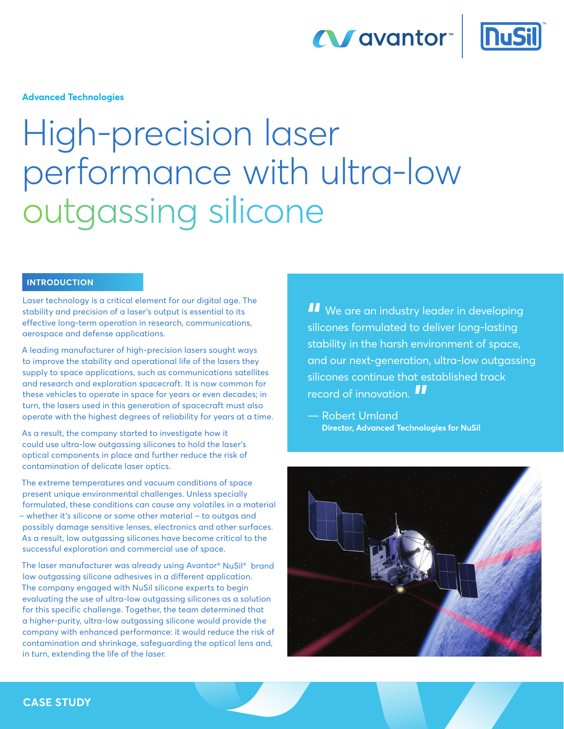



**Advanced Technologies** 

# High-precision laser performance with ultra-low outgassing silicone

## **INTRODUCTION**

Laser technology is a critical element for our digital age. The stability and precision of a laser's output is essential to its effective long-term operation in research, communications, aerospace and defense applications.

A leading manufacturer of high-precision lasers sought ways to improve the stability and operational life of the lasers they supply to space applications, such as communications satellites and research and exploration spacecraft. It is now common for these vehicles to operate in space for years or even decades; in turn, the lasers used in this generation of spacecraft must also operate with the highest degrees of reliability for years at a time.

As a result, the company started to investigate how it could use ultra-low outgassing silicones to hold the laser's optical components in place and further reduce the risk of contamination of delicate laser optics.

The extreme temperatures and vacuum conditions of space present unique environmental challenges. Unless specially formulated, these conditions can cause any volatiles in a material – whether it's silicone or some other material – to outgas and possibly damage sensitive lenses, electronics and other surfaces. As a result, low outgassing silicones have become critical to the successful exploration and commercial use of space.

The laser manufacturer was already using Avantor® NuSil® brand low outgassing silicone adhesives in a different application. The company engaged with NuSil silicone experts to begin evaluating the use of ultra-low outgassing silicones as a solution for this specific challenge. Together, the team determined that a higher-purity, ultra-low outgassing silicone would provide the company with enhanced performance: it would reduce the risk of contamination and shrinkage, safeguarding the optical lens and, in turn, extending the life of the laser.

**II** We are an industry leader in developing<br>silicones formulated to deliver long-lasting silicones formulated to deliver long-lasting stability in the harsh environment of space, and our next-generation, ultra-low outgassing silicones continue that established track record of innovation. **"**

— Robert Umland **Director, Advanced Technologies for NuSil**